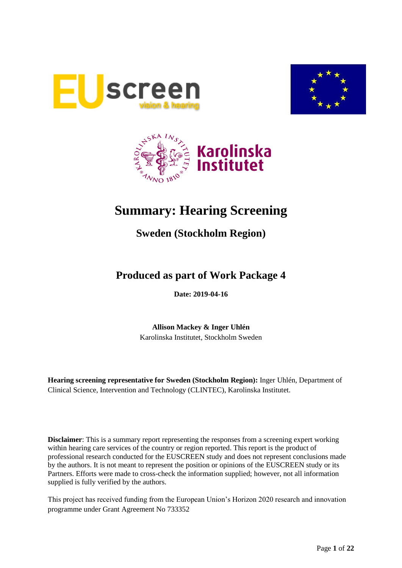





# **Summary: Hearing Screening**

# **Sweden (Stockholm Region)**

# **Produced as part of Work Package 4**

**Date: 2019-04-16**

**Allison Mackey & Inger Uhlén** Karolinska Institutet, Stockholm Sweden

**Hearing screening representative for Sweden (Stockholm Region):** Inger Uhlén, Department of Clinical Science, Intervention and Technology (CLINTEC), Karolinska Institutet.

**Disclaimer**: This is a summary report representing the responses from a screening expert working within hearing care services of the country or region reported. This report is the product of professional research conducted for the EUSCREEN study and does not represent conclusions made by the authors. It is not meant to represent the position or opinions of the EUSCREEN study or its Partners. Efforts were made to cross-check the information supplied; however, not all information supplied is fully verified by the authors.

This project has received funding from the European Union's Horizon 2020 research and innovation programme under Grant Agreement No 733352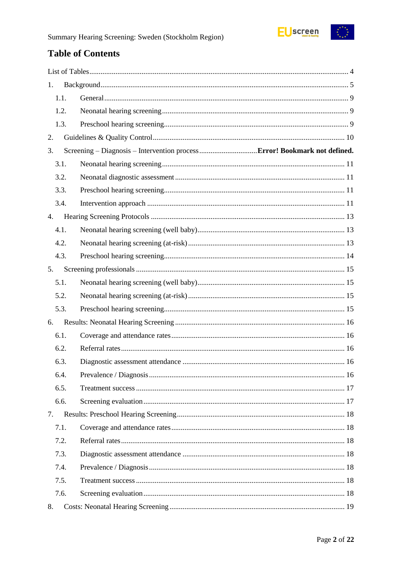

# **Table of Contents**

| 1.   |  |
|------|--|
| 1.1. |  |
| 1.2. |  |
| 1.3. |  |
| 2.   |  |
| 3.   |  |
| 3.1. |  |
| 3.2. |  |
| 3.3. |  |
| 3.4. |  |
| 4.   |  |
| 4.1. |  |
| 4.2. |  |
| 4.3. |  |
| 5.   |  |
| 5.1. |  |
| 5.2. |  |
| 5.3. |  |
| 6.   |  |
| 6.1. |  |
| 6.2. |  |
| 6.3. |  |
| 6.4. |  |
| 6.5. |  |
| 6.6. |  |
| 7.   |  |
| 7.1. |  |
| 7.2. |  |
| 7.3. |  |
| 7.4. |  |
| 7.5. |  |
| 7.6. |  |
| 8.   |  |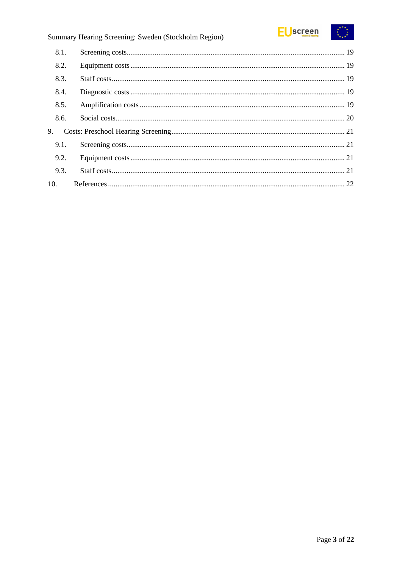

|     | 8.1. |  |
|-----|------|--|
|     | 8.2. |  |
|     | 8.3. |  |
|     | 8.4. |  |
|     | 8.5. |  |
|     | 8.6. |  |
| 9.  |      |  |
|     | 9.1. |  |
|     | 9.2. |  |
|     | 9.3. |  |
| 10. |      |  |
|     |      |  |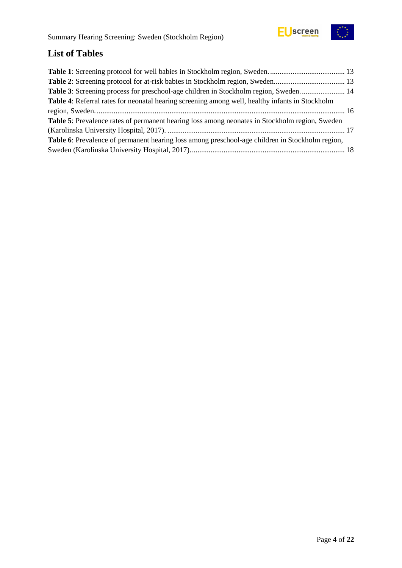



# <span id="page-3-0"></span>**List of Tables**

| Table 3: Screening process for preschool-age children in Stockholm region, Sweden 14                   |  |
|--------------------------------------------------------------------------------------------------------|--|
| Table 4: Referral rates for neonatal hearing screening among well, healthy infants in Stockholm        |  |
|                                                                                                        |  |
| Table 5: Prevalence rates of permanent hearing loss among neonates in Stockholm region, Sweden         |  |
|                                                                                                        |  |
| <b>Table 6:</b> Prevalence of permanent hearing loss among preschool-age children in Stockholm region, |  |
|                                                                                                        |  |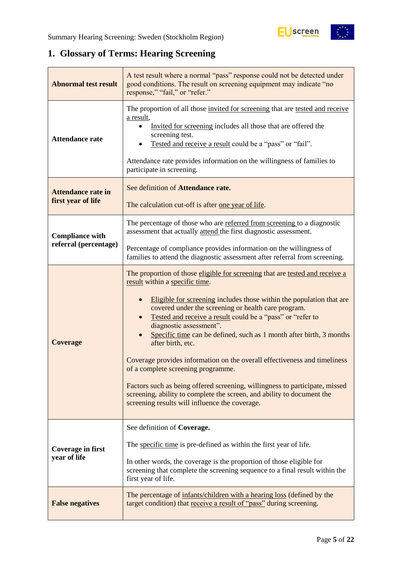# <span id="page-4-0"></span>**1. Glossary of Terms: Hearing Screening**

| <b>Abnormal test result</b>                     | A test result where a normal "pass" response could not be detected under<br>good conditions. The result on screening equipment may indicate "no<br>response," "fail," or "refer."                                                                                                                                                                                                                                                                                                                                                                                                                                                                                                                                                                                |
|-------------------------------------------------|------------------------------------------------------------------------------------------------------------------------------------------------------------------------------------------------------------------------------------------------------------------------------------------------------------------------------------------------------------------------------------------------------------------------------------------------------------------------------------------------------------------------------------------------------------------------------------------------------------------------------------------------------------------------------------------------------------------------------------------------------------------|
| <b>Attendance rate</b>                          | The proportion of all those invited for screening that are tested and receive<br>a result,<br>Invited for screening includes all those that are offered the<br>screening test.<br>Tested and receive a result could be a "pass" or "fail".<br>Attendance rate provides information on the willingness of families to<br>participate in screening.                                                                                                                                                                                                                                                                                                                                                                                                                |
| <b>Attendance rate in</b><br>first year of life | See definition of Attendance rate.<br>The calculation cut-off is after one year of life.                                                                                                                                                                                                                                                                                                                                                                                                                                                                                                                                                                                                                                                                         |
| <b>Compliance with</b><br>referral (percentage) | The percentage of those who are referred from screening to a diagnostic<br>assessment that actually attend the first diagnostic assessment.                                                                                                                                                                                                                                                                                                                                                                                                                                                                                                                                                                                                                      |
|                                                 | Percentage of compliance provides information on the willingness of<br>families to attend the diagnostic assessment after referral from screening.                                                                                                                                                                                                                                                                                                                                                                                                                                                                                                                                                                                                               |
| <b>Coverage</b>                                 | The proportion of those eligible for screening that are tested and receive a<br>result within a specific time.<br>Eligible for screening includes those within the population that are<br>covered under the screening or health care program.<br>Tested and receive a result could be a "pass" or "refer to<br>diagnostic assessment".<br>Specific time can be defined, such as 1 month after birth, 3 months<br>after birth, etc.<br>Coverage provides information on the overall effectiveness and timeliness<br>of a complete screening programme.<br>Factors such as being offered screening, willingness to participate, missed<br>screening, ability to complete the screen, and ability to document the<br>screening results will influence the coverage. |
| <b>Coverage in first</b><br>year of life        | See definition of Coverage.<br>The specific time is pre-defined as within the first year of life.<br>In other words, the coverage is the proportion of those eligible for<br>screening that complete the screening sequence to a final result within the<br>first year of life.                                                                                                                                                                                                                                                                                                                                                                                                                                                                                  |
| <b>False negatives</b>                          | The percentage of infants/children with a hearing loss (defined by the<br>target condition) that receive a result of "pass" during screening.                                                                                                                                                                                                                                                                                                                                                                                                                                                                                                                                                                                                                    |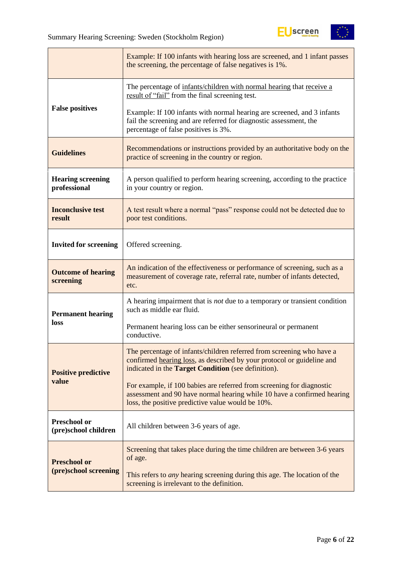

|                                             | Example: If 100 infants with hearing loss are screened, and 1 infant passes<br>the screening, the percentage of false negatives is 1%.                                                                        |
|---------------------------------------------|---------------------------------------------------------------------------------------------------------------------------------------------------------------------------------------------------------------|
|                                             | The percentage of infants/children with normal hearing that receive a<br>result of "fail" from the final screening test.                                                                                      |
| <b>False positives</b>                      | Example: If 100 infants with normal hearing are screened, and 3 infants<br>fail the screening and are referred for diagnostic assessment, the<br>percentage of false positives is 3%.                         |
| <b>Guidelines</b>                           | Recommendations or instructions provided by an authoritative body on the<br>practice of screening in the country or region.                                                                                   |
| <b>Hearing screening</b><br>professional    | A person qualified to perform hearing screening, according to the practice<br>in your country or region.                                                                                                      |
| <b>Inconclusive test</b><br>result          | A test result where a normal "pass" response could not be detected due to<br>poor test conditions.                                                                                                            |
| <b>Invited for screening</b>                | Offered screening.                                                                                                                                                                                            |
| <b>Outcome of hearing</b><br>screening      | An indication of the effectiveness or performance of screening, such as a<br>measurement of coverage rate, referral rate, number of infants detected,<br>etc.                                                 |
| <b>Permanent hearing</b>                    | A hearing impairment that is not due to a temporary or transient condition<br>such as middle ear fluid.                                                                                                       |
| loss                                        | Permanent hearing loss can be either sensorineural or permanent<br>conductive.                                                                                                                                |
| <b>Positive predictive</b>                  | The percentage of infants/children referred from screening who have a<br>confirmed hearing loss, as described by your protocol or guideline and<br>indicated in the <b>Target Condition</b> (see definition). |
| value                                       | For example, if 100 babies are referred from screening for diagnostic<br>assessment and 90 have normal hearing while 10 have a confirmed hearing<br>loss, the positive predictive value would be 10%.         |
| <b>Preschool or</b><br>(pre)school children | All children between 3-6 years of age.                                                                                                                                                                        |
| <b>Preschool or</b>                         | Screening that takes place during the time children are between 3-6 years<br>of age.                                                                                                                          |
| (pre)school screening                       | This refers to <i>any</i> hearing screening during this age. The location of the<br>screening is irrelevant to the definition.                                                                                |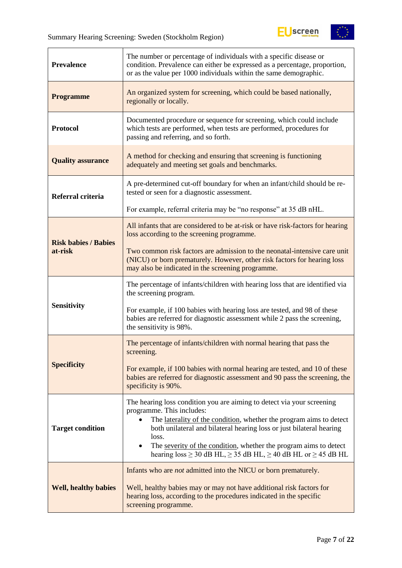

| <b>Prevalence</b>           | The number or percentage of individuals with a specific disease or<br>condition. Prevalence can either be expressed as a percentage, proportion,<br>or as the value per 1000 individuals within the same demographic.                                                                                                                                                                                                              |  |
|-----------------------------|------------------------------------------------------------------------------------------------------------------------------------------------------------------------------------------------------------------------------------------------------------------------------------------------------------------------------------------------------------------------------------------------------------------------------------|--|
| <b>Programme</b>            | An organized system for screening, which could be based nationally,<br>regionally or locally.                                                                                                                                                                                                                                                                                                                                      |  |
| <b>Protocol</b>             | Documented procedure or sequence for screening, which could include<br>which tests are performed, when tests are performed, procedures for<br>passing and referring, and so forth.                                                                                                                                                                                                                                                 |  |
| <b>Quality assurance</b>    | A method for checking and ensuring that screening is functioning<br>adequately and meeting set goals and benchmarks.                                                                                                                                                                                                                                                                                                               |  |
| Referral criteria           | A pre-determined cut-off boundary for when an infant/child should be re-<br>tested or seen for a diagnostic assessment.                                                                                                                                                                                                                                                                                                            |  |
|                             | For example, referral criteria may be "no response" at 35 dB nHL.                                                                                                                                                                                                                                                                                                                                                                  |  |
| <b>Risk babies / Babies</b> | All infants that are considered to be at-risk or have risk-factors for hearing<br>loss according to the screening programme.                                                                                                                                                                                                                                                                                                       |  |
| at-risk                     | Two common risk factors are admission to the neonatal-intensive care unit<br>(NICU) or born prematurely. However, other risk factors for hearing loss<br>may also be indicated in the screening programme.                                                                                                                                                                                                                         |  |
|                             | The percentage of infants/children with hearing loss that are identified via<br>the screening program.                                                                                                                                                                                                                                                                                                                             |  |
| <b>Sensitivity</b>          | For example, if 100 babies with hearing loss are tested, and 98 of these<br>babies are referred for diagnostic assessment while 2 pass the screening,<br>the sensitivity is 98%.                                                                                                                                                                                                                                                   |  |
|                             | The percentage of infants/children with normal hearing that pass the<br>screening.                                                                                                                                                                                                                                                                                                                                                 |  |
| <b>Specificity</b>          | For example, if 100 babies with normal hearing are tested, and 10 of these<br>babies are referred for diagnostic assessment and 90 pass the screening, the<br>specificity is 90%.                                                                                                                                                                                                                                                  |  |
| <b>Target condition</b>     | The hearing loss condition you are aiming to detect via your screening<br>programme. This includes:<br>The laterality of the condition, whether the program aims to detect<br>both unilateral and bilateral hearing loss or just bilateral hearing<br>loss.<br>The severity of the condition, whether the program aims to detect<br>$\bullet$<br>hearing loss $\geq$ 30 dB HL, $\geq$ 35 dB HL, $\geq$ 40 dB HL or $\geq$ 45 dB HL |  |
| <b>Well, healthy babies</b> | Infants who are <i>not</i> admitted into the NICU or born prematurely.<br>Well, healthy babies may or may not have additional risk factors for<br>hearing loss, according to the procedures indicated in the specific<br>screening programme.                                                                                                                                                                                      |  |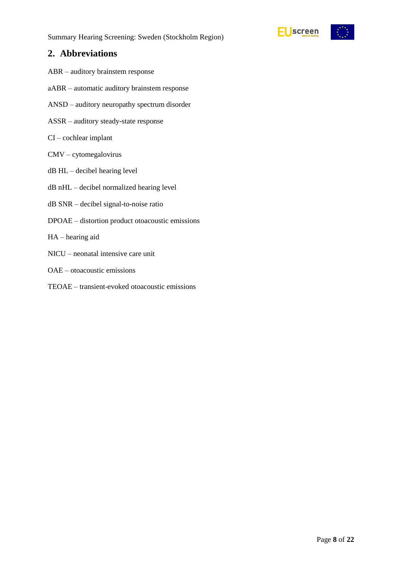

# **2. Abbreviations**

- ABR auditory brainstem response
- aABR automatic auditory brainstem response
- ANSD auditory neuropathy spectrum disorder
- ASSR auditory steady-state response
- CI cochlear implant
- CMV cytomegalovirus
- dB HL decibel hearing level
- dB nHL decibel normalized hearing level
- dB SNR decibel signal-to-noise ratio
- DPOAE distortion product otoacoustic emissions
- HA hearing aid
- NICU neonatal intensive care unit
- OAE otoacoustic emissions
- TEOAE transient-evoked otoacoustic emissions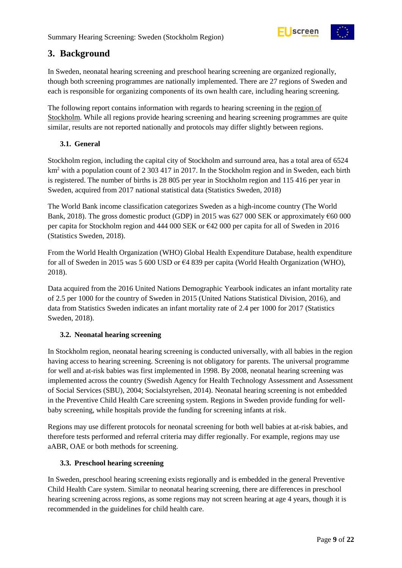

# **3. Background**

In Sweden, neonatal hearing screening and preschool hearing screening are organized regionally, though both screening programmes are nationally implemented. There are 27 regions of Sweden and each is responsible for organizing components of its own health care, including hearing screening.

The following report contains information with regards to hearing screening in the region of Stockholm. While all regions provide hearing screening and hearing screening programmes are quite similar, results are not reported nationally and protocols may differ slightly between regions.

# <span id="page-8-0"></span>**3.1. General**

Stockholm region, including the capital city of Stockholm and surround area, has a total area of 6524 km<sup>2</sup> with a population count of 2 303 417 in 2017. In the Stockholm region and in Sweden, each birth is registered. The number of births is 28 805 per year in Stockholm region and 115 416 per year in Sweden, acquired from 2017 national statistical data (Statistics Sweden, 2018)

The World Bank income classification categorizes Sweden as a high-income country (The World Bank, 2018). The gross domestic product (GDP) in 2015 was 627 000 SEK or approximately  $660\,000$ per capita for Stockholm region and 444 000 SEK or €42 000 per capita for all of Sweden in 2016 (Statistics Sweden, 2018).

From the World Health Organization (WHO) Global Health Expenditure Database, health expenditure for all of Sweden in 2015 was 5 600 USD or  $64839$  per capita (World Health Organization (WHO), 2018).

Data acquired from the 2016 United Nations Demographic Yearbook indicates an infant mortality rate of 2.5 per 1000 for the country of Sweden in 2015 (United Nations Statistical Division, 2016), and data from Statistics Sweden indicates an infant mortality rate of 2.4 per 1000 for 2017 (Statistics Sweden, 2018).

# <span id="page-8-1"></span>**3.2. Neonatal hearing screening**

In Stockholm region, neonatal hearing screening is conducted universally, with all babies in the region having access to hearing screening. Screening is not obligatory for parents. The universal programme for well and at-risk babies was first implemented in 1998. By 2008, neonatal hearing screening was implemented across the country (Swedish Agency for Health Technology Assessment and Assessment of Social Services (SBU), 2004; Socialstyrelsen, 2014). Neonatal hearing screening is not embedded in the Preventive Child Health Care screening system. Regions in Sweden provide funding for wellbaby screening, while hospitals provide the funding for screening infants at risk.

Regions may use different protocols for neonatal screening for both well babies at at-risk babies, and therefore tests performed and referral criteria may differ regionally. For example, regions may use aABR, OAE or both methods for screening.

## <span id="page-8-2"></span>**3.3. Preschool hearing screening**

In Sweden, preschool hearing screening exists regionally and is embedded in the general Preventive Child Health Care system. Similar to neonatal hearing screening, there are differences in preschool hearing screening across regions, as some regions may not screen hearing at age 4 years, though it is recommended in the guidelines for child health care.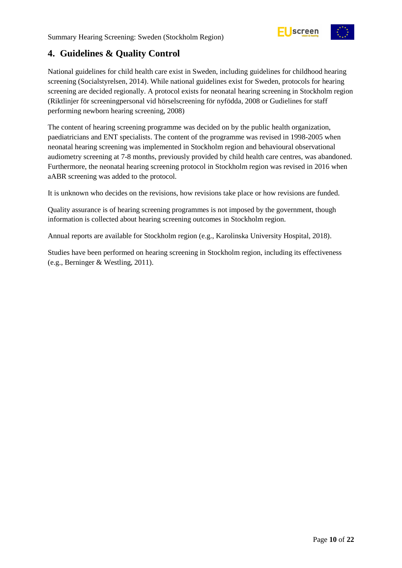



# <span id="page-9-0"></span>**4. Guidelines & Quality Control**

National guidelines for child health care exist in Sweden, including guidelines for childhood hearing screening (Socialstyrelsen, 2014). While national guidelines exist for Sweden, protocols for hearing screening are decided regionally. A protocol exists for neonatal hearing screening in Stockholm region (Riktlinjer för screeningpersonal vid hörselscreening för nyfödda, 2008 or Gudielines for staff performing newborn hearing screening, 2008)

The content of hearing screening programme was decided on by the public health organization, paediatricians and ENT specialists. The content of the programme was revised in 1998-2005 when neonatal hearing screening was implemented in Stockholm region and behavioural observational audiometry screening at 7-8 months, previously provided by child health care centres, was abandoned. Furthermore, the neonatal hearing screening protocol in Stockholm region was revised in 2016 when aABR screening was added to the protocol.

It is unknown who decides on the revisions, how revisions take place or how revisions are funded.

Quality assurance is of hearing screening programmes is not imposed by the government, though information is collected about hearing screening outcomes in Stockholm region.

Annual reports are available for Stockholm region (e.g., Karolinska University Hospital, 2018).

Studies have been performed on hearing screening in Stockholm region, including its effectiveness (e.g., Berninger & Westling, 2011).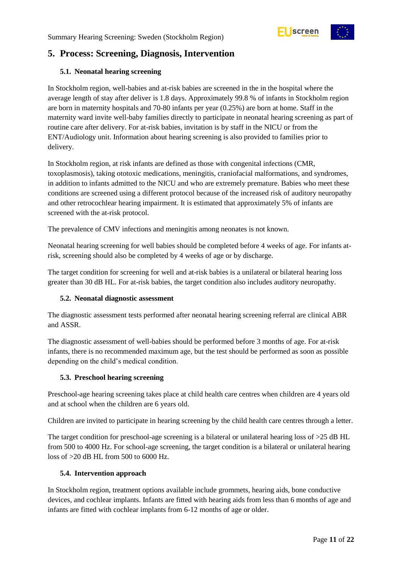

# <span id="page-10-0"></span>**5. Process: Screening, Diagnosis, Intervention**

## **5.1. Neonatal hearing screening**

In Stockholm region, well-babies and at-risk babies are screened in the in the hospital where the average length of stay after deliver is 1.8 days. Approximately 99.8 % of infants in Stockholm region are born in maternity hospitals and 70-80 infants per year (0.25%) are born at home. Staff in the maternity ward invite well-baby families directly to participate in neonatal hearing screening as part of routine care after delivery. For at-risk babies, invitation is by staff in the NICU or from the ENT/Audiology unit. Information about hearing screening is also provided to families prior to delivery.

In Stockholm region, at risk infants are defined as those with congenital infections (CMR, toxoplasmosis), taking ototoxic medications, meningitis, craniofacial malformations, and syndromes, in addition to infants admitted to the NICU and who are extremely premature. Babies who meet these conditions are screened using a different protocol because of the increased risk of auditory neuropathy and other retrocochlear hearing impairment. It is estimated that approximately 5% of infants are screened with the at-risk protocol.

The prevalence of CMV infections and meningitis among neonates is not known.

Neonatal hearing screening for well babies should be completed before 4 weeks of age. For infants atrisk, screening should also be completed by 4 weeks of age or by discharge.

The target condition for screening for well and at-risk babies is a unilateral or bilateral hearing loss greater than 30 dB HL. For at-risk babies, the target condition also includes auditory neuropathy.

## <span id="page-10-1"></span>**5.2. Neonatal diagnostic assessment**

The diagnostic assessment tests performed after neonatal hearing screening referral are clinical ABR and ASSR.

The diagnostic assessment of well-babies should be performed before 3 months of age. For at-risk infants, there is no recommended maximum age, but the test should be performed as soon as possible depending on the child's medical condition.

## <span id="page-10-2"></span>**5.3. Preschool hearing screening**

Preschool-age hearing screening takes place at child health care centres when children are 4 years old and at school when the children are 6 years old.

Children are invited to participate in hearing screening by the child health care centres through a letter.

The target condition for preschool-age screening is a bilateral or unilateral hearing loss of  $>25$  dB HL from 500 to 4000 Hz. For school-age screening, the target condition is a bilateral or unilateral hearing loss of >20 dB HL from 500 to 6000 Hz.

## <span id="page-10-3"></span>**5.4. Intervention approach**

In Stockholm region, treatment options available include grommets, hearing aids, bone conductive devices, and cochlear implants. Infants are fitted with hearing aids from less than 6 months of age and infants are fitted with cochlear implants from 6-12 months of age or older.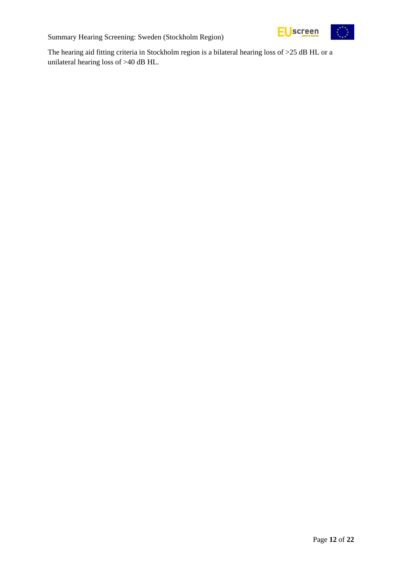

The hearing aid fitting criteria in Stockholm region is a bilateral hearing loss of >25 dB HL or a unilateral hearing loss of >40 dB HL.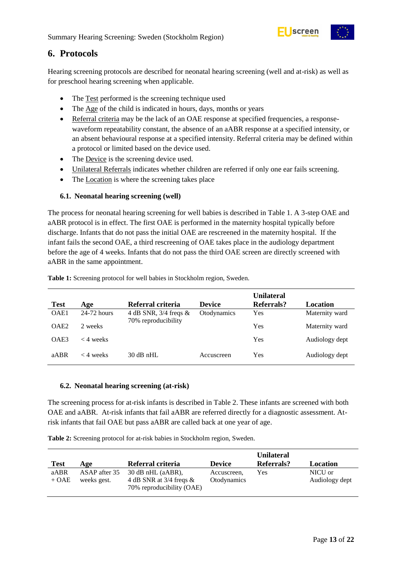

# <span id="page-12-0"></span>**6. Protocols**

Hearing screening protocols are described for neonatal hearing screening (well and at-risk) as well as for preschool hearing screening when applicable.

- The Test performed is the screening technique used
- The Age of the child is indicated in hours, days, months or years
- Referral criteria may be the lack of an OAE response at specified frequencies, a responsewaveform repeatability constant, the absence of an aABR response at a specified intensity, or an absent behavioural response at a specified intensity. Referral criteria may be defined within a protocol or limited based on the device used.
- The Device is the screening device used.
- Unilateral Referrals indicates whether children are referred if only one ear fails screening.
- The Location is where the screening takes place

## <span id="page-12-1"></span>**6.1. Neonatal hearing screening (well)**

The process for neonatal hearing screening for well babies is described in Table 1. A 3-step OAE and aABR protocol is in effect. The first OAE is performed in the maternity hospital typically before discharge. Infants that do not pass the initial OAE are rescreened in the maternity hospital. If the infant fails the second OAE, a third rescreening of OAE takes place in the audiology department before the age of 4 weeks. Infants that do not pass the third OAE screen are directly screened with aABR in the same appointment.

| <b>Test</b>      | Age           | Referral criteria       | <b>Device</b> | <b>Unilateral</b><br>Referrals? | Location       |
|------------------|---------------|-------------------------|---------------|---------------------------------|----------------|
| OAE1             | $24-72$ hours | 4 dB SNR, $3/4$ freqs & | Otodynamics   | Yes                             | Maternity ward |
| OAE <sub>2</sub> | 2 weeks       | 70% reproducibility     |               | Yes                             | Maternity ward |
| OAE3             | $<$ 4 weeks   |                         |               | Yes                             | Audiology dept |
| aABR             | $<$ 4 weeks   | $30$ dB nHL             | Accuscreen    | Yes                             | Audiology dept |

<span id="page-12-3"></span>**Table 1:** Screening protocol for well babies in Stockholm region, Sweden.

#### <span id="page-12-2"></span>**6.2. Neonatal hearing screening (at-risk)**

The screening process for at-risk infants is described in Table 2. These infants are screened with both OAE and aABR. At-risk infants that fail aABR are referred directly for a diagnostic assessment. Atrisk infants that fail OAE but pass aABR are called back at one year of age.

<span id="page-12-4"></span>**Table 2:** Screening protocol for at-risk babies in Stockholm region, Sweden.

| <b>Test</b> | Age           | Referral criteria                                         | <b>Device</b> | <b>Unilateral</b><br><b>Referrals?</b> | Location       |
|-------------|---------------|-----------------------------------------------------------|---------------|----------------------------------------|----------------|
| aABR        | ASAP after 35 | 30 dB nHL (aABR),                                         | Accuscreen.   | Yes                                    | NICU or        |
| $+ OAE$     | weeks gest.   | 4 dB SNR at $3/4$ freqs $\&$<br>70% reproducibility (OAE) | Otodynamics   |                                        | Audiology dept |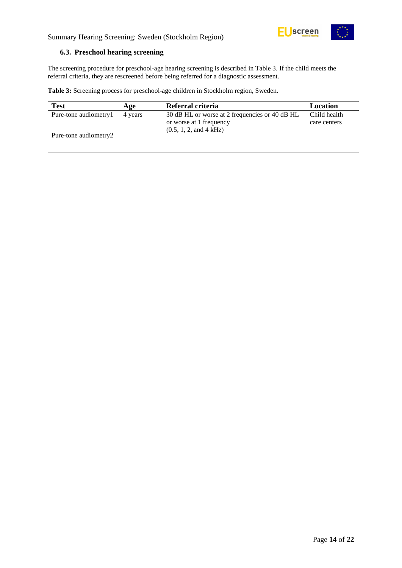

#### <span id="page-13-0"></span>**6.3. Preschool hearing screening**

The screening procedure for preschool-age hearing screening is described in Table 3. If the child meets the referral criteria, they are rescreened before being referred for a diagnostic assessment.

<span id="page-13-1"></span>**Table 3:** Screening process for preschool-age children in Stockholm region, Sweden.

| <b>Test</b>           | Age     | Referral criteria                              | Location     |
|-----------------------|---------|------------------------------------------------|--------------|
| Pure-tone audiometry1 | 4 years | 30 dB HL or worse at 2 frequencies or 40 dB HL | Child health |
|                       |         | or worse at 1 frequency                        | care centers |
|                       |         | (0.5, 1, 2, and 4 kHz)                         |              |
| Pure-tone audiometry2 |         |                                                |              |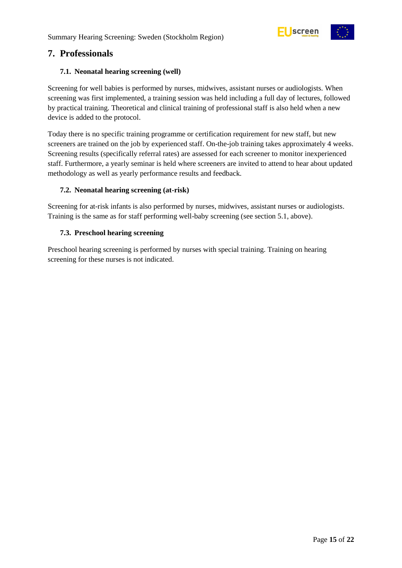



# <span id="page-14-0"></span>**7. Professionals**

## <span id="page-14-1"></span>**7.1. Neonatal hearing screening (well)**

Screening for well babies is performed by nurses, midwives, assistant nurses or audiologists. When screening was first implemented, a training session was held including a full day of lectures, followed by practical training. Theoretical and clinical training of professional staff is also held when a new device is added to the protocol.

Today there is no specific training programme or certification requirement for new staff, but new screeners are trained on the job by experienced staff. On-the-job training takes approximately 4 weeks. Screening results (specifically referral rates) are assessed for each screener to monitor inexperienced staff. Furthermore, a yearly seminar is held where screeners are invited to attend to hear about updated methodology as well as yearly performance results and feedback.

#### <span id="page-14-2"></span>**7.2. Neonatal hearing screening (at-risk)**

Screening for at-risk infants is also performed by nurses, midwives, assistant nurses or audiologists. Training is the same as for staff performing well-baby screening (see section 5.1, above).

#### <span id="page-14-3"></span>**7.3. Preschool hearing screening**

Preschool hearing screening is performed by nurses with special training. Training on hearing screening for these nurses is not indicated.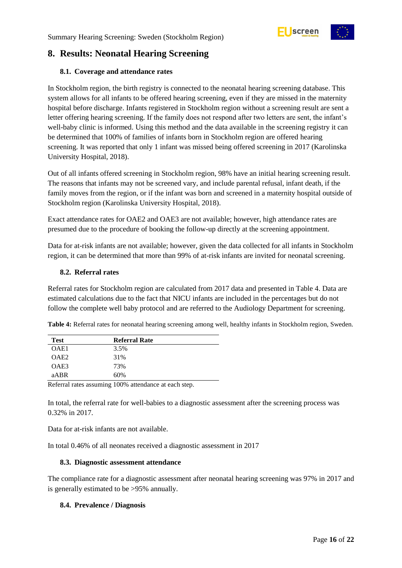

# <span id="page-15-0"></span>**8. Results: Neonatal Hearing Screening**

## <span id="page-15-1"></span>**8.1. Coverage and attendance rates**

In Stockholm region, the birth registry is connected to the neonatal hearing screening database. This system allows for all infants to be offered hearing screening, even if they are missed in the maternity hospital before discharge. Infants registered in Stockholm region without a screening result are sent a letter offering hearing screening. If the family does not respond after two letters are sent, the infant's well-baby clinic is informed. Using this method and the data available in the screening registry it can be determined that 100% of families of infants born in Stockholm region are offered hearing screening. It was reported that only 1 infant was missed being offered screening in 2017 (Karolinska University Hospital, 2018).

Out of all infants offered screening in Stockholm region, 98% have an initial hearing screening result. The reasons that infants may not be screened vary, and include parental refusal, infant death, if the family moves from the region, or if the infant was born and screened in a maternity hospital outside of Stockholm region (Karolinska University Hospital, 2018).

Exact attendance rates for OAE2 and OAE3 are not available; however, high attendance rates are presumed due to the procedure of booking the follow-up directly at the screening appointment.

Data for at-risk infants are not available; however, given the data collected for all infants in Stockholm region, it can be determined that more than 99% of at-risk infants are invited for neonatal screening.

#### <span id="page-15-2"></span>**8.2. Referral rates**

Referral rates for Stockholm region are calculated from 2017 data and presented in Table 4. Data are estimated calculations due to the fact that NICU infants are included in the percentages but do not follow the complete well baby protocol and are referred to the Audiology Department for screening.

<span id="page-15-5"></span>

| Table 4: Referral rates for neonatal hearing screening among well, healthy infants in Stockholm region, Sweden. |  |
|-----------------------------------------------------------------------------------------------------------------|--|
|-----------------------------------------------------------------------------------------------------------------|--|

| <b>Test</b>      | <b>Referral Rate</b> |  |
|------------------|----------------------|--|
| OAE1             | 3.5%                 |  |
| OAE <sub>2</sub> | 31%                  |  |
| OAE3             | 73%                  |  |
| aABR             | 60%                  |  |

Referral rates assuming 100% attendance at each step.

In total, the referral rate for well-babies to a diagnostic assessment after the screening process was 0.32% in 2017.

Data for at-risk infants are not available.

In total 0.46% of all neonates received a diagnostic assessment in 2017

#### <span id="page-15-3"></span>**8.3. Diagnostic assessment attendance**

The compliance rate for a diagnostic assessment after neonatal hearing screening was 97% in 2017 and is generally estimated to be >95% annually.

#### <span id="page-15-4"></span>**8.4. Prevalence / Diagnosis**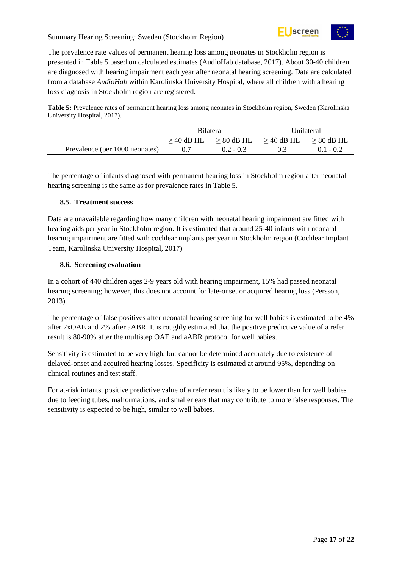

The prevalence rate values of permanent hearing loss among neonates in Stockholm region is presented in [Table 5](#page-16-3) based on calculated estimates (AudioHab database, 2017). About 30-40 children are diagnosed with hearing impairment each year after neonatal hearing screening. Data are calculated from a database *AudioHab* within Karolinska University Hospital, where all children with a hearing loss diagnosis in Stockholm region are registered.

<span id="page-16-3"></span>**Table 5:** Prevalence rates of permanent hearing loss among neonates in Stockholm region, Sweden (Karolinska University Hospital, 2017).

|                                | <b>Bilateral</b> |                 | Unilateral      |                 |
|--------------------------------|------------------|-----------------|-----------------|-----------------|
|                                | $\geq$ 40 dB HL  | $\geq 80$ dB HL | $\geq$ 40 dB HL | $\geq 80$ dB HL |
| Prevalence (per 1000 neonates) |                  | $0.2 - 0.3$     |                 | $0.1 - 0.2$     |

The percentage of infants diagnosed with permanent hearing loss in Stockholm region after neonatal hearing screening is the same as for prevalence rates in [Table 5.](#page-16-3)

## <span id="page-16-0"></span>**8.5. Treatment success**

Data are unavailable regarding how many children with neonatal hearing impairment are fitted with hearing aids per year in Stockholm region. It is estimated that around 25-40 infants with neonatal hearing impairment are fitted with cochlear implants per year in Stockholm region (Cochlear Implant Team, Karolinska University Hospital, 2017)

## <span id="page-16-1"></span>**8.6. Screening evaluation**

In a cohort of 440 children ages 2-9 years old with hearing impairment, 15% had passed neonatal hearing screening; however, this does not account for late-onset or acquired hearing loss (Persson, 2013).

The percentage of false positives after neonatal hearing screening for well babies is estimated to be 4% after 2xOAE and 2% after aABR. It is roughly estimated that the positive predictive value of a refer result is 80-90% after the multistep OAE and aABR protocol for well babies.

Sensitivity is estimated to be very high, but cannot be determined accurately due to existence of delayed-onset and acquired hearing losses. Specificity is estimated at around 95%, depending on clinical routines and test staff.

<span id="page-16-2"></span>For at-risk infants, positive predictive value of a refer result is likely to be lower than for well babies due to feeding tubes, malformations, and smaller ears that may contribute to more false responses. The sensitivity is expected to be high, similar to well babies.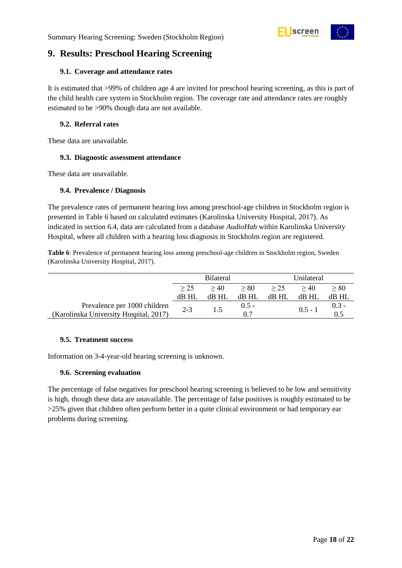

# **9. Results: Preschool Hearing Screening**

#### <span id="page-17-0"></span>**9.1. Coverage and attendance rates**

It is estimated that >99% of children age 4 are invited for preschool hearing screening, as this is part of the child health care system in Stockholm region. The coverage rate and attendance rates are roughly estimated to be >90% though data are not available.

#### <span id="page-17-1"></span>**9.2. Referral rates**

These data are unavailable.

#### <span id="page-17-2"></span>**9.3. Diagnostic assessment attendance**

These data are unavailable.

#### <span id="page-17-3"></span>**9.4. Prevalence / Diagnosis**

The prevalence rates of permanent hearing loss among preschool-age children in Stockholm region is presented in [Table 6](#page-17-6) based on calculated estimates (Karolinska University Hospital, 2017). As indicated in section 6.4, data are calculated from a database *AudioHab* within Karolinska University Hospital, where all children with a hearing loss diagnosis in Stockholm region are registered.

<span id="page-17-6"></span>**Table 6**: Prevalence of permanent hearing loss among preschool-age children in Stockholm region, Sweden (Karolinska University Hospital, 2017).

|                                        | <b>Bilateral</b> |         |         | Unilateral |           |           |
|----------------------------------------|------------------|---------|---------|------------|-----------|-----------|
|                                        | > 25             | >40     | > 80    | > 25       | >40       | $\geq 80$ |
|                                        | dB HI            | $dB$ HL | $dB$ HL | dB HL      | dB HL     | dB HL     |
| Prevalence per 1000 children           | $2 - 3$          |         | $0.5 -$ |            | $0.5 - 1$ | $0.3 -$   |
| (Karolinska University Hospital, 2017) |                  |         | 07      |            |           |           |

#### <span id="page-17-4"></span>**9.5. Treatment success**

Information on 3-4-year-old hearing screening is unknown.

## <span id="page-17-5"></span>**9.6. Screening evaluation**

The percentage of false negatives for preschool hearing screening is believed to be low and sensitivity is high, though these data are unavailable. The percentage of false positives is roughly estimated to be >25% given that children often perform better in a quite clinical environment or had temporary ear problems during screening.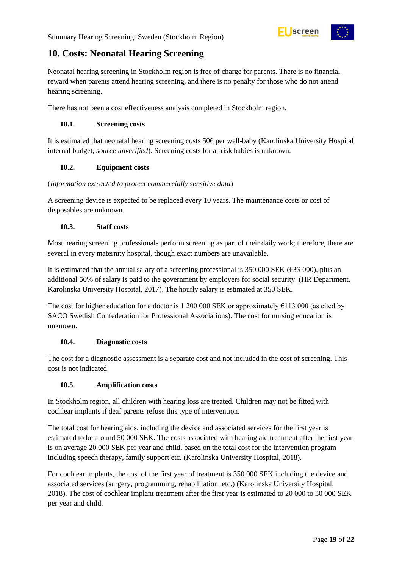

# <span id="page-18-0"></span>**10. Costs: Neonatal Hearing Screening**

Neonatal hearing screening in Stockholm region is free of charge for parents. There is no financial reward when parents attend hearing screening, and there is no penalty for those who do not attend hearing screening.

There has not been a cost effectiveness analysis completed in Stockholm region.

## <span id="page-18-1"></span>**10.1. Screening costs**

It is estimated that neonatal hearing screening costs 50€ per well-baby (Karolinska University Hospital internal budget, *source unverified*). Screening costs for at-risk babies is unknown.

## <span id="page-18-2"></span>**10.2. Equipment costs**

## (*Information extracted to protect commercially sensitive data*)

A screening device is expected to be replaced every 10 years. The maintenance costs or cost of disposables are unknown.

## <span id="page-18-3"></span>**10.3. Staff costs**

Most hearing screening professionals perform screening as part of their daily work; therefore, there are several in every maternity hospital, though exact numbers are unavailable.

It is estimated that the annual salary of a screening professional is 350 000 SEK ( $\epsilon$ 33 000), plus an additional 50% of salary is paid to the government by employers for social security (HR Department, Karolinska University Hospital, 2017). The hourly salary is estimated at 350 SEK.

The cost for higher education for a doctor is 1 200 000 SEK or approximately  $\epsilon$ 113 000 (as cited by SACO Swedish Confederation for Professional Associations). The cost for nursing education is unknown.

## <span id="page-18-4"></span>**10.4. Diagnostic costs**

The cost for a diagnostic assessment is a separate cost and not included in the cost of screening. This cost is not indicated.

## <span id="page-18-5"></span>**10.5. Amplification costs**

In Stockholm region, all children with hearing loss are treated. Children may not be fitted with cochlear implants if deaf parents refuse this type of intervention.

The total cost for hearing aids, including the device and associated services for the first year is estimated to be around 50 000 SEK. The costs associated with hearing aid treatment after the first year is on average 20 000 SEK per year and child, based on the total cost for the intervention program including speech therapy, family support etc. (Karolinska University Hospital, 2018).

For cochlear implants, the cost of the first year of treatment is 350 000 SEK including the device and associated services (surgery, programming, rehabilitation, etc.) (Karolinska University Hospital, 2018). The cost of cochlear implant treatment after the first year is estimated to 20 000 to 30 000 SEK per year and child.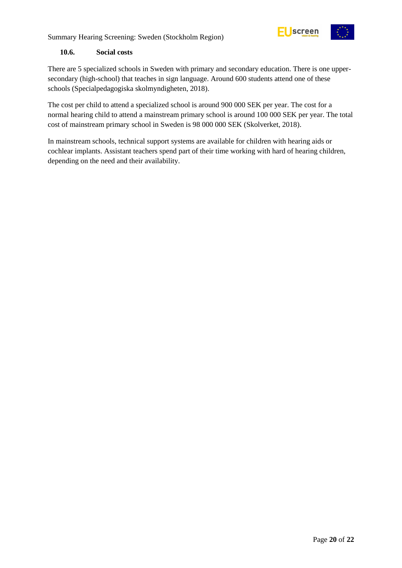

## <span id="page-19-0"></span>**10.6. Social costs**

There are 5 specialized schools in Sweden with primary and secondary education. There is one uppersecondary (high-school) that teaches in sign language. Around 600 students attend one of these schools (Specialpedagogiska skolmyndigheten, 2018).

The cost per child to attend a specialized school is around 900 000 SEK per year. The cost for a normal hearing child to attend a mainstream primary school is around 100 000 SEK per year. The total cost of mainstream primary school in Sweden is 98 000 000 SEK (Skolverket, 2018).

In mainstream schools, technical support systems are available for children with hearing aids or cochlear implants. Assistant teachers spend part of their time working with hard of hearing children, depending on the need and their availability.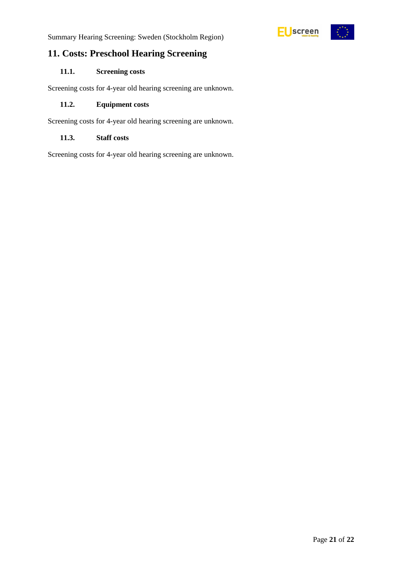# <span id="page-20-0"></span>**11. Costs: Preschool Hearing Screening**

# <span id="page-20-1"></span>**11.1. Screening costs**

Screening costs for 4-year old hearing screening are unknown.

#### <span id="page-20-2"></span>**11.2. Equipment costs**

Screening costs for 4-year old hearing screening are unknown.

# <span id="page-20-3"></span>**11.3. Staff costs**

Screening costs for 4-year old hearing screening are unknown.